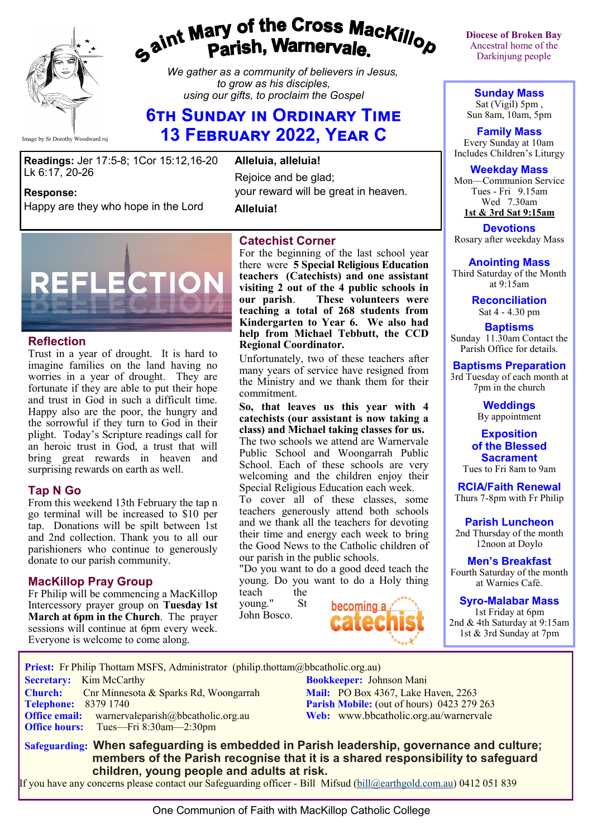

# gaint Mary of the Cross Mackillop<br>g<sup>aint</sup> Parish, Warnervale.

*We gather as a community of believers in Jesus, to grow as his disciples, using our gifts, to proclaim the Gospel*

# **6th Sunday in Ordinary Time 13 February 2022, Year C**

**Readings:** Jer 17:5-8; 1Cor 15:12,16-20 Lk 6:17, 20-26

**Response:** 

Happy are they who hope in the Lord

**Alleluia, alleluia!** Rejoice and be glad; your reward will be great in heaven.

**Alleluia!**



### **Reflection**

Trust in a year of drought. It is hard to imagine families on the land having no worries in a year of drought. They are fortunate if they are able to put their hope and trust in God in such a difficult time. Happy also are the poor, the hungry and the sorrowful if they turn to God in their plight. Today's Scripture readings call for an heroic trust in God, a trust that will bring great rewards in heaven and surprising rewards on earth as well.

### **Tap N Go**

From this weekend 13th February the tap n go terminal will be increased to \$10 per tap. Donations will be spilt between 1st and 2nd collection. Thank you to all our parishioners who continue to generously donate to our parish community.

# **MacKillop Pray Group**

Fr Philip will be commencing a MacKillop Intercessory prayer group on **Tuesday 1st March at 6pm in the Church**. The prayer sessions will continue at 6pm every week. Everyone is welcome to come along.

# **Catechist Corner**

For the beginning of the last school year there were **5 Special Religious Education teachers (Catechists) and one assistant visiting 2 out of the 4 public schools in our parish**. **These volunteers were teaching a total of 268 students from Kindergarten to Year 6. We also had help from Michael Tebbutt, the CCD Regional Coordinator.**

Unfortunately, two of these teachers after many years of service have resigned from the Ministry and we thank them for their commitment.

**So, that leaves us this year with 4 catechists (our assistant is now taking a class) and Michael taking classes for us.** The two schools we attend are Warnervale

Public School and Woongarrah Public School. Each of these schools are very welcoming and the children enjoy their Special Religious Education each week.

To cover all of these classes, some teachers generously attend both schools and we thank all the teachers for devoting their time and energy each week to bring the Good News to the Catholic children of our parish in the public schools.

"Do you want to do a good deed teach the young. Do you want to do a Holy thing teach the

young." St John Bosco.

 **Priest:** Fr Philip Thottam MSFS, Administrator (philip.thottam@bbcatholic.org.au)

**Secretary:** Kim McCarthy **Bookkeeper:** Johnson Mani



**Diocese of Broken Bay**  Ancestral home of the Darkinjung people

**Sunday Mass** Sat (Vigil) 5pm , Sun 8am, 10am, 5pm

**Family Mass**  Every Sunday at 10am Includes Children's Liturgy

**Weekday Mass** Mon—Communion Service Tues - Fri 9.15am Wed 7.30am **1st & 3rd Sat 9:15am**

**Devotions** Rosary after weekday Mass

**Anointing Mass**

Third Saturday of the Month at 9:15am **Reconciliation**

Sat 4 - 4.30 pm

**Baptisms** Sunday 11.30am Contact the Parish Office for details.

**Baptisms Preparation** 3rd Tuesday of each month at

7pm in the church

**Weddings**  By appointment

#### **Exposition of the Blessed Sacrament**

Tues to Fri 8am to 9am

**RCIA/Faith Renewal**  Thurs 7-8pm with Fr Philip

**Parish Luncheon** 2nd Thursday of the month 12noon at Doylo

**Men's Breakfast** Fourth Saturday of the month at Warnies Café.

**Syro-Malabar Mass** 1st Friday at 6pm 2nd & 4th Saturday at 9:15am 1st & 3rd Sunday at 7pm

**Church:** Cnr Minnesota & Sparks Rd, Woongarrah **Mail: PO Box 4367, Lake Haven, 2263**<br> **Parish Mobile:** (out of hours) 0423 279 **Parish Mobile:** (out of hours) 0423 279 263 **Office email:** warnervaleparish@bbcatholic.org.au **Web:** [www.bbcatholic.org.au/warnervale](https://www.bbcatholic.org.au/warnervale) **Office hours:** Tues—Fri 8:30am—2:30pm  **Safeguarding: When safeguarding is embedded in Parish leadership, governance and culture; members of the Parish recognise that it is a shared responsibility to safeguard** 

 **children, young people and adults at risk.** If you have any concerns please contact our Safeguarding officer - Bill Mifsud ([bill@earthgold.com.au\)](mailto:bill@earthgold.com.au) 0412 051 839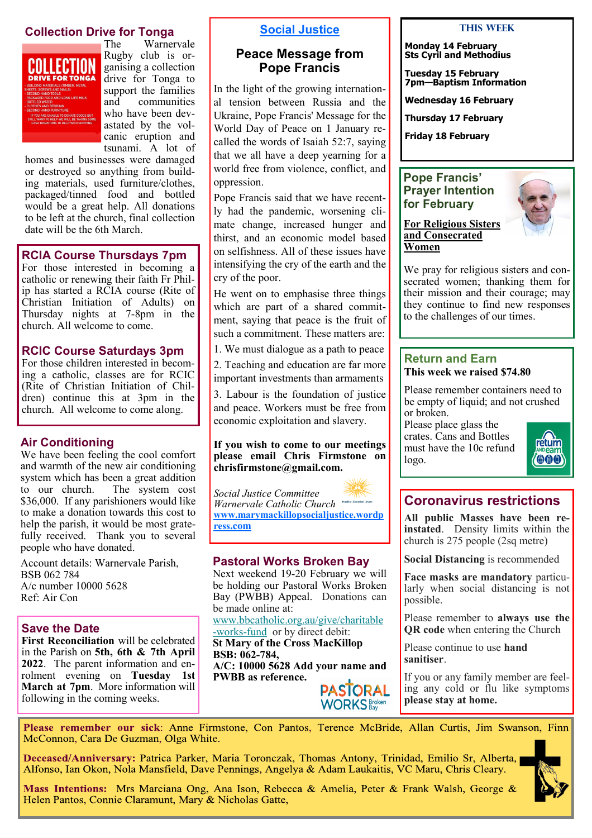# **Collection Drive for Tonga**<br>The Warner



Warnervale Rugby club is organising a collection drive for Tonga to support the families and communities who have been devastated by the volcanic eruption and tsunami. A lot of

homes and businesses were damaged or destroyed so anything from building materials, used furniture/clothes, packaged/tinned food and bottled would be a great help. All donations to be left at the church, final collection date will be the 6th March.

### **RCIA Course Thursdays 7pm**

For those interested in becoming a catholic or renewing their faith Fr Philip has started a RCIA course (Rite of Christian Initiation of Adults) on Thursday nights at 7-8pm in the church. All welcome to come.

# **RCIC Course Saturdays 3pm**

For those children interested in becoming a catholic, classes are for RCIC (Rite of Christian Initiation of Children) continue this at 3pm in the church. All welcome to come along.

# **Air Conditioning**

We have been feeling the cool comfort and warmth of the new air conditioning system which has been a great addition to our church. The system cost \$36,000. If any parishioners would like to make a donation towards this cost to help the parish, it would be most gratefully received. Thank you to several people who have donated.

Account details: Warnervale Parish, BSB 062 784 A/c number 10000 5628 Ref: Air Con

# **Save the Date**

**First Reconciliation** will be celebrated in the Parish on **5th, 6th & 7th April 2022**. The parent information and enrolment evening on **Tuesday 1st March at 7pm**. More information will following in the coming weeks.

# **Social Justice**

# **Peace Message from Pope Francis**

In the light of the growing international tension between Russia and the Ukraine, Pope Francis' Message for the World Day of Peace on 1 January recalled the words of Isaiah 52:7, saying that we all have a deep yearning for a world free from violence, conflict, and oppression.

Pope Francis said that we have recently had the pandemic, worsening climate change, increased hunger and thirst, and an economic model based on selfishness. All of these issues have intensifying the cry of the earth and the cry of the poor.

He went on to emphasise three things which are part of a shared commitment, saying that peace is the fruit of such a commitment. These matters are:

1. We must dialogue as a path to peace

2. Teaching and education are far more important investments than armaments

3. Labour is the foundation of justice and peace. Workers must be free from economic exploitation and slavery.

#### **If you wish to come to our meetings please email Chris Firmstone on chrisfirmstone@gmail.com.**

*Social Justice Committee Warnervale Catholic Church*  **[www.marymackillopsocialjustice.wordp](http://www.marymackillopsocialjustice.wordpress.com) ress[.com](http://www.marymackillopsocialjustice.wordpress.com)**

### **Pastoral Works Broken Bay**

Next weekend 19-20 February we will be holding our Pastoral Works Broken Bay (PWBB) Appeal. Donations can be made online at:

[www.bbcatholic.org.au/give/charitable](https://bbcatholic.us8.list-manage.com/track/click?u=466af249e088db70ab864d088&id=5a94d43080&e=e312df0f80) -[works](https://bbcatholic.us8.list-manage.com/track/click?u=466af249e088db70ab864d088&id=5a94d43080&e=e312df0f80)-fundor by direct debit: **St Mary of the Cross MacKillop** 

**BSB: 062-784, A/C: 10000 5628 Add your name and PWBB as reference.** 

#### **This Week**

#### **Monday 14 February Sts Cyril and Methodius**

**Tuesday 15 February 7pm—Baptism Information**

**Wednesday 16 February**

**Thursday 17 February**

**Friday 18 February**

# **Pope Francis' Prayer Intention for February**



**For Religious Sisters and Consecrated Women**

We pray for religious sisters and consecrated women; thanking them for their mission and their courage; may they continue to find new responses to the challenges of our times.

#### **Return and Earn This week we raised \$74.80**

Please remember containers need to be empty of liquid; and not crushed or broken.

Please place glass the crates. Cans and Bottles must have the 10c refund logo.



# **Coronavirus restrictions**

**All public Masses have been reinstated**. Density limits within the church is 275 people (2sq metre)

**Social Distancing** is recommended

**Face masks are mandatory** particularly when social distancing is not possible.

Please remember to **always use the QR code** when entering the Church

Please continue to use **hand sanitiser**.

If you or any family member are feeling any cold or flu like symptoms **please stay at home.**

Please remember our sick: Anne Firmstone, Con Pantos, Terence McBride, Allan Curtis, Jim Swanson, Finn McConnon, Cara De Guzman, Olga White.

**PASTORAL**<br>WORKS Baxen

Deceased/Anniversary: Patrica Parker, Maria Toronczak, Thomas Antony, Trinidad, Emilio Sr, Alberta, Alfonso, Ian Okon, Nola Mansfield, Dave Pennings, Angelya & Adam Laukaitis, VC Maru, Chris Cleary.



Mass Intentions: Mrs Marciana Ong, Ana Ison, Rebecca & Amelia, Peter & Frank Walsh, George & Helen Pantos, Connie Claramunt, Mary & Nicholas Gatte,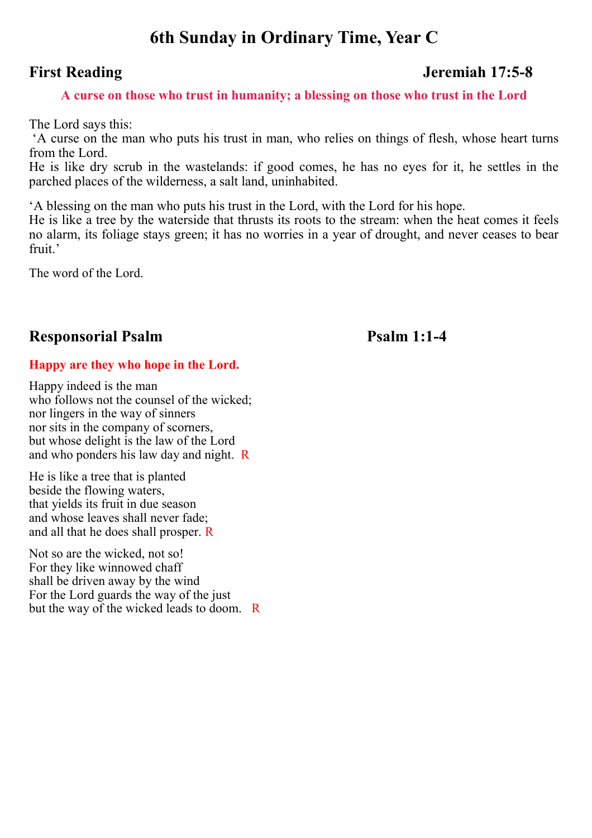# **6th Sunday in Ordinary Time, Year C**

# **First Reading Jeremiah 17:5-8**

# **A curse on those who trust in humanity; a blessing on those who trust in the Lord**

The Lord says this:

'A curse on the man who puts his trust in man, who relies on things of flesh, whose heart turns from the Lord.

He is like dry scrub in the wastelands: if good comes, he has no eyes for it, he settles in the parched places of the wilderness, a salt land, uninhabited.

'A blessing on the man who puts his trust in the Lord, with the Lord for his hope.

He is like a tree by the waterside that thrusts its roots to the stream: when the heat comes it feels no alarm, its foliage stays green; it has no worries in a year of drought, and never ceases to bear fruit<sup>'</sup>

The word of the Lord.

# **Responsorial Psalm Psalm 1:1-4**

# **Happy are they who hope in the Lord.**

Happy indeed is the man who follows not the counsel of the wicked: nor lingers in the way of sinners nor sits in the company of scorners, but whose delight is the law of the Lord and who ponders his law day and night. R

He is like a tree that is planted beside the flowing waters, that yields its fruit in due season and whose leaves shall never fade; and all that he does shall prosper. R

Not so are the wicked, not so! For they like winnowed chaff shall be driven away by the wind For the Lord guards the way of the just but the way of the wicked leads to doom. R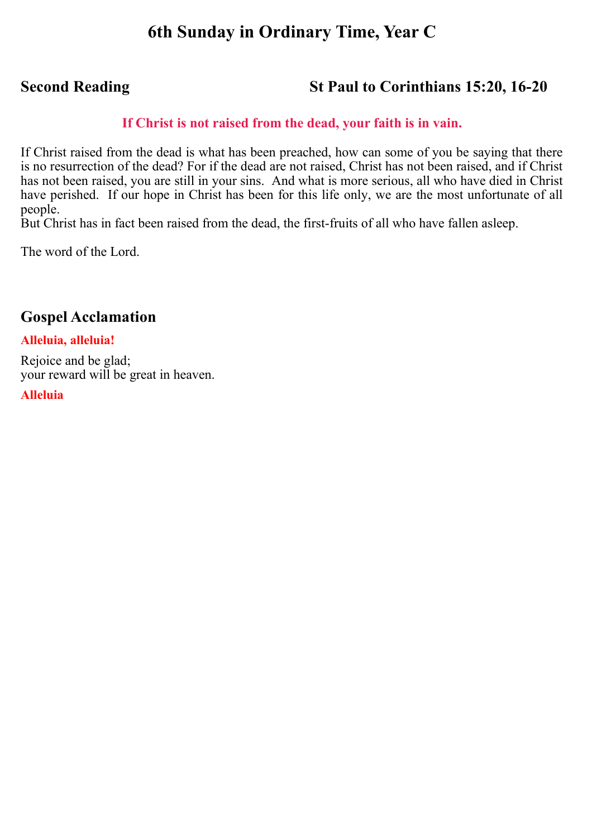# **6th Sunday in Ordinary Time, Year C**

# **Second Reading St Paul to Corinthians 15:20, 16-20**

# **If Christ is not raised from the dead, your faith is in vain.**

If Christ raised from the dead is what has been preached, how can some of you be saying that there is no resurrection of the dead? For if the dead are not raised, Christ has not been raised, and if Christ has not been raised, you are still in your sins. And what is more serious, all who have died in Christ have perished. If our hope in Christ has been for this life only, we are the most unfortunate of all people.

But Christ has in fact been raised from the dead, the first-fruits of all who have fallen asleep.

The word of the Lord.

# **Gospel Acclamation**

# **Alleluia, alleluia!**

Rejoice and be glad; your reward will be great in heaven.

**Alleluia**